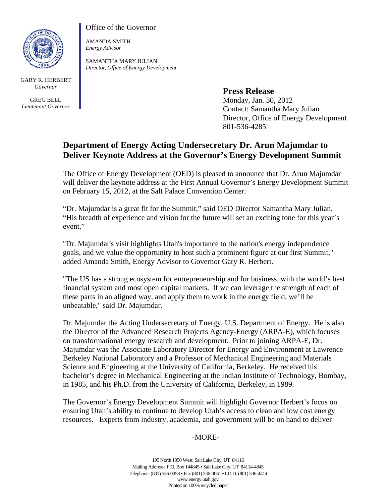

GARY R. HERBERT *Governor* 

GREG BELL *Lieutenant Governor* Office of the Governor

AMANDA SMITH *Energy Advisor* 

SAMANTHA MARY JULIAN *Director, Office of Energy Development*

**Press Release** 

Monday, Jan. 30, 2012 Contact: Samantha Mary Julian Director, Office of Energy Development 801-536-4285

## **Department of Energy Acting Undersecretary Dr. Arun Majumdar to Deliver Keynote Address at the Governor's Energy Development Summit**

The Office of Energy Development (OED) is pleased to announce that Dr. Arun Majumdar will deliver the keynote address at the First Annual Governor's Energy Development Summit on February 15, 2012, at the Salt Palace Convention Center.

"Dr. Majumdar is a great fit for the Summit," said OED Director Samantha Mary Julian. "His breadth of experience and vision for the future will set an exciting tone for this year's event."

"Dr. Majumdar's visit highlights Utah's importance to the nation's energy independence goals, and we value the opportunity to host such a prominent figure at our first Summit," added Amanda Smith, Energy Advisor to Governor Gary R. Herbert.

"The US has a strong ecosystem for entrepreneurship and for business, with the world's best financial system and most open capital markets. If we can leverage the strength of each of these parts in an aligned way, and apply them to work in the energy field, we'll be unbeatable," said Dr. Majumdar.

Dr. Majumdar the Acting Undersecretary of Energy, U.S. Department of Energy. He is also the Director of the Advanced Research Projects Agency-Energy (ARPA-E), which focuses on transformational energy research and development. Prior to joining ARPA-E, Dr. Majumdar was the Associate Laboratory Director for Energy and Environment at Lawrence Berkeley National Laboratory and a Professor of Mechanical Engineering and Materials Science and Engineering at the University of California, Berkeley. He received his bachelor's degree in Mechanical Engineering at the Indian Institute of Technology, Bombay, in 1985, and his Ph.D. from the University of California, Berkeley, in 1989.

The Governor's Energy Development Summit will highlight Governor Herbert's focus on ensuring Utah's ability to continue to develop Utah's access to clean and low cost energy resources. Experts from industry, academia, and government will be on hand to deliver

-MORE-

195 North 1950 West, Salt Lake City, UT 84116 Mailing Address: P.O. Box 144845 • Salt Lake City, UT 84114-4845 Telephone: (801) 536-0058 • Fax (801) 536-0061 •T.D.D. (801) 536-4414 www.energy.utah.gov Printed on 100% recycled paper